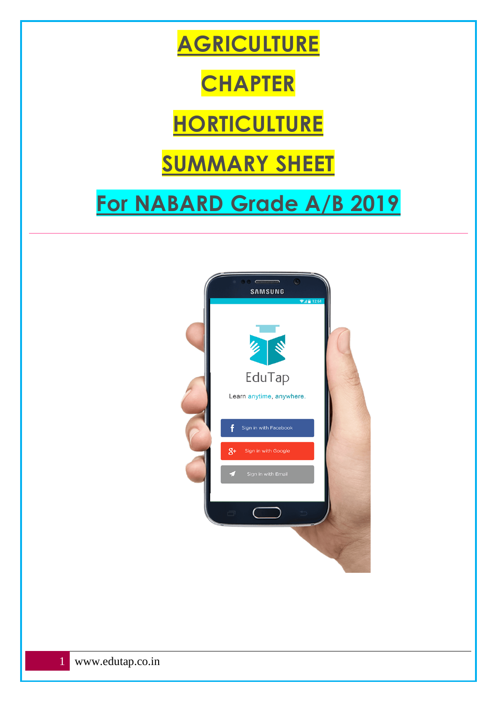

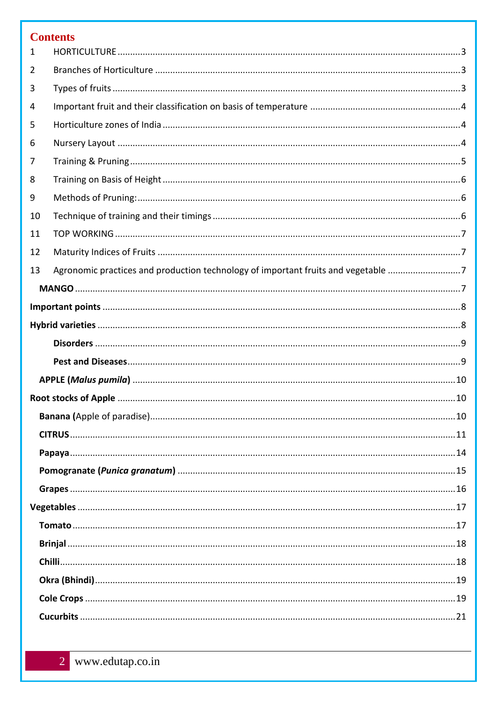# **Contents**

| 1  |                                                                                   |  |  |
|----|-----------------------------------------------------------------------------------|--|--|
| 2  |                                                                                   |  |  |
| 3  |                                                                                   |  |  |
| 4  |                                                                                   |  |  |
| 5  |                                                                                   |  |  |
| 6  |                                                                                   |  |  |
| 7  |                                                                                   |  |  |
| 8  |                                                                                   |  |  |
| 9  |                                                                                   |  |  |
| 10 |                                                                                   |  |  |
| 11 |                                                                                   |  |  |
| 12 |                                                                                   |  |  |
| 13 | Agronomic practices and production technology of important fruits and vegetable 7 |  |  |
|    |                                                                                   |  |  |
|    |                                                                                   |  |  |
|    |                                                                                   |  |  |
|    |                                                                                   |  |  |
|    |                                                                                   |  |  |
|    |                                                                                   |  |  |
|    |                                                                                   |  |  |
|    |                                                                                   |  |  |
|    |                                                                                   |  |  |
|    |                                                                                   |  |  |
|    |                                                                                   |  |  |
|    |                                                                                   |  |  |
|    |                                                                                   |  |  |
|    |                                                                                   |  |  |
|    |                                                                                   |  |  |
|    |                                                                                   |  |  |
|    |                                                                                   |  |  |
|    |                                                                                   |  |  |
|    |                                                                                   |  |  |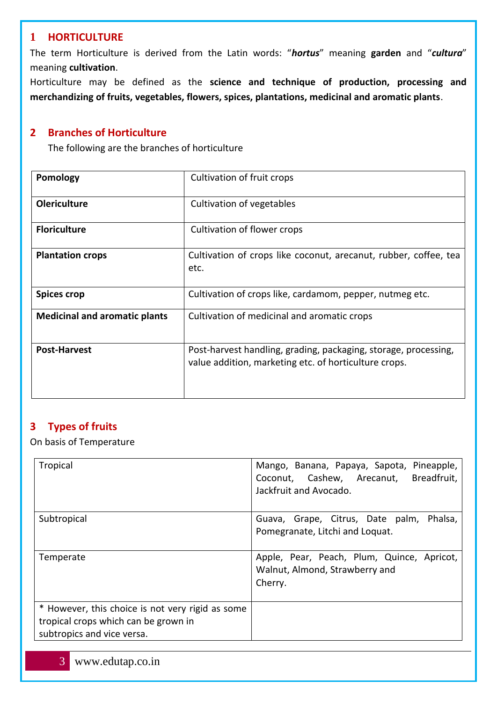### <span id="page-2-0"></span>**1 HORTICULTURE**

The term Horticulture is derived from the Latin words: "*hortus*" meaning **garden** and "*cultura*" meaning **cultivation**.

Horticulture may be defined as the **science and technique of production, processing and merchandizing of fruits, vegetables, flowers, spices, plantations, medicinal and aromatic plants**.

### <span id="page-2-1"></span>**2 Branches of Horticulture**

The following are the branches of horticulture

| Pomology                             | Cultivation of fruit crops                                                                                               |  |
|--------------------------------------|--------------------------------------------------------------------------------------------------------------------------|--|
| <b>Olericulture</b>                  | Cultivation of vegetables                                                                                                |  |
| <b>Floriculture</b>                  | Cultivation of flower crops                                                                                              |  |
| <b>Plantation crops</b>              | Cultivation of crops like coconut, arecanut, rubber, coffee, tea<br>etc.                                                 |  |
| <b>Spices crop</b>                   | Cultivation of crops like, cardamom, pepper, nutmeg etc.                                                                 |  |
| <b>Medicinal and aromatic plants</b> | Cultivation of medicinal and aromatic crops                                                                              |  |
| <b>Post-Harvest</b>                  | Post-harvest handling, grading, packaging, storage, processing,<br>value addition, marketing etc. of horticulture crops. |  |

## <span id="page-2-2"></span>**3 Types of fruits**

On basis of Temperature

| Tropical                                                                                                               | Mango, Banana, Papaya, Sapota, Pineapple,<br>Breadfruit,<br>Coconut, Cashew, Arecanut,<br>Jackfruit and Avocado. |
|------------------------------------------------------------------------------------------------------------------------|------------------------------------------------------------------------------------------------------------------|
| Subtropical                                                                                                            | Phalsa,<br>Guava, Grape, Citrus, Date palm,<br>Pomegranate, Litchi and Loquat.                                   |
| Temperate                                                                                                              | Apple, Pear, Peach, Plum, Quince, Apricot,<br>Walnut, Almond, Strawberry and<br>Cherry.                          |
| * However, this choice is not very rigid as some<br>tropical crops which can be grown in<br>subtropics and vice versa. |                                                                                                                  |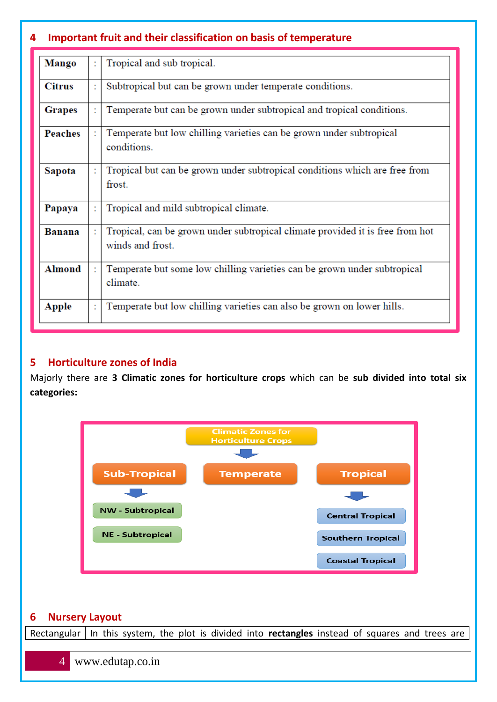## <span id="page-3-0"></span>**4 Important fruit and their classification on basis of temperature**

| <b>Mango</b>              |                                                                                    | Tropical and sub tropical.                                                                        |  |
|---------------------------|------------------------------------------------------------------------------------|---------------------------------------------------------------------------------------------------|--|
| <b>Citrus</b>             |                                                                                    | Subtropical but can be grown under temperate conditions.                                          |  |
| <b>Grapes</b>             |                                                                                    | Temperate but can be grown under subtropical and tropical conditions.                             |  |
| <b>Peaches</b>            | Temperate but low chilling varieties can be grown under subtropical<br>conditions. |                                                                                                   |  |
| Sapota                    |                                                                                    | Tropical but can be grown under subtropical conditions which are free from<br>frost.              |  |
| Papaya                    |                                                                                    | Tropical and mild subtropical climate.                                                            |  |
| Banana                    |                                                                                    | Tropical, can be grown under subtropical climate provided it is free from hot<br>winds and frost. |  |
| <b>Almond</b><br>climate. |                                                                                    | Temperate but some low chilling varieties can be grown under subtropical                          |  |
| <b>Apple</b>              | t                                                                                  | Temperate but low chilling varieties can also be grown on lower hills.                            |  |

### <span id="page-3-1"></span>**5 Horticulture zones of India**

Majorly there are **3 Climatic zones for horticulture crops** which can be **sub divided into total six categories:**



### <span id="page-3-2"></span>**6 Nursery Layout**

Rectangular | In this system, the plot is divided into **rectangles** instead of squares and trees are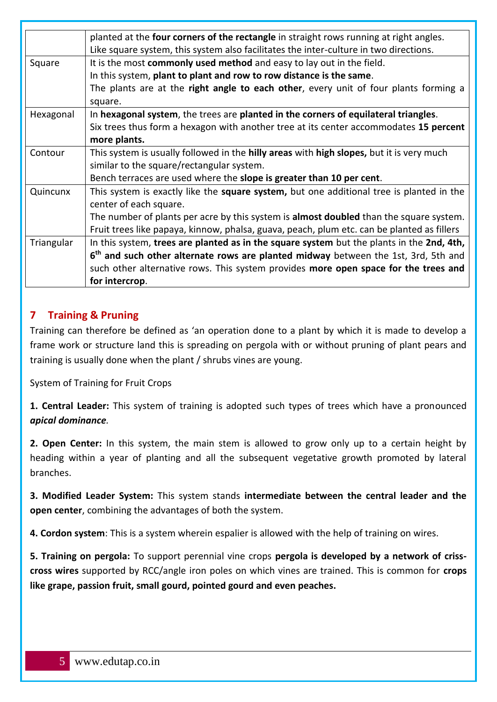| planted at the four corners of the rectangle in straight rows running at right angles. |                                                                                                |  |
|----------------------------------------------------------------------------------------|------------------------------------------------------------------------------------------------|--|
|                                                                                        | Like square system, this system also facilitates the inter-culture in two directions.          |  |
| Square                                                                                 | It is the most commonly used method and easy to lay out in the field.                          |  |
|                                                                                        | In this system, plant to plant and row to row distance is the same.                            |  |
|                                                                                        | The plants are at the right angle to each other, every unit of four plants forming a           |  |
|                                                                                        | square.                                                                                        |  |
| Hexagonal                                                                              | In hexagonal system, the trees are planted in the corners of equilateral triangles.            |  |
|                                                                                        | Six trees thus form a hexagon with another tree at its center accommodates 15 percent          |  |
|                                                                                        | more plants.                                                                                   |  |
| Contour                                                                                | This system is usually followed in the hilly areas with high slopes, but it is very much       |  |
|                                                                                        | similar to the square/rectangular system.                                                      |  |
|                                                                                        | Bench terraces are used where the slope is greater than 10 per cent.                           |  |
| Quincunx                                                                               | This system is exactly like the square system, but one additional tree is planted in the       |  |
|                                                                                        | center of each square.                                                                         |  |
|                                                                                        | The number of plants per acre by this system is <b>almost doubled</b> than the square system.  |  |
|                                                                                        | Fruit trees like papaya, kinnow, phalsa, guava, peach, plum etc. can be planted as fillers     |  |
| Triangular                                                                             | In this system, trees are planted as in the square system but the plants in the 2nd, 4th,      |  |
|                                                                                        | 6 <sup>th</sup> and such other alternate rows are planted midway between the 1st, 3rd, 5th and |  |
|                                                                                        | such other alternative rows. This system provides more open space for the trees and            |  |
|                                                                                        | for intercrop.                                                                                 |  |

## <span id="page-4-0"></span>**7 Training & Pruning**

Training can therefore be defined as 'an operation done to a plant by which it is made to develop a frame work or structure land this is spreading on pergola with or without pruning of plant pears and training is usually done when the plant / shrubs vines are young.

System of Training for Fruit Crops

**1. Central Leader:** This system of training is adopted such types of trees which have a pronounced *apical dominance.*

**2. Open Center:** In this system, the main stem is allowed to grow only up to a certain height by heading within a year of planting and all the subsequent vegetative growth promoted by lateral branches.

**3. Modified Leader System:** This system stands **intermediate between the central leader and the open center**, combining the advantages of both the system.

**4. Cordon system**: This is a system wherein espalier is allowed with the help of training on wires.

**5. Training on pergola:** To support perennial vine crops **pergola is developed by a network of crisscross wires** supported by RCC/angle iron poles on which vines are trained. This is common for **crops like grape, passion fruit, small gourd, pointed gourd and even peaches.**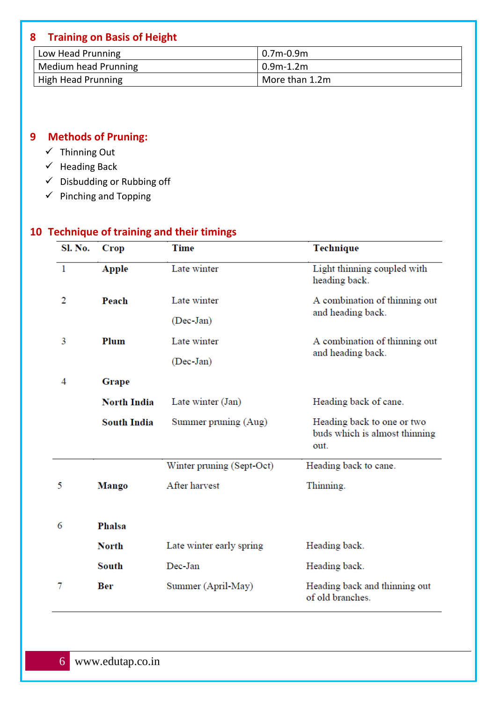## <span id="page-5-0"></span>**8 Training on Basis of Height**

| Low Head Prunning         | $0.7m-0.9m$    |
|---------------------------|----------------|
| Medium head Prunning      | $0.9$ m-1.2m   |
| <b>High Head Prunning</b> | More than 1.2m |

## <span id="page-5-1"></span>**9 Methods of Pruning:**

- ✓ Thinning Out
- $\checkmark$  Heading Back
- $\checkmark$  Disbudding or Rubbing off
- $\checkmark$  Pinching and Topping

## <span id="page-5-2"></span>**10 Technique of training and their timings**

| Sl. No.      | <b>Crop</b>        | <b>Time</b>               | <b>Technique</b>                                                    |  |
|--------------|--------------------|---------------------------|---------------------------------------------------------------------|--|
| $\mathbf{1}$ | <b>Apple</b>       | Late winter               | Light thinning coupled with<br>heading back.                        |  |
| 2            | Peach              | Late winter               | A combination of thinning out                                       |  |
|              |                    | (Dec-Jan)                 | and heading back.                                                   |  |
| 3            | Plum               | Late winter               | A combination of thinning out                                       |  |
|              |                    | (Dec-Jan)                 | and heading back.                                                   |  |
| 4            | Grape              |                           |                                                                     |  |
|              | <b>North India</b> | Late winter (Jan)         | Heading back of cane.                                               |  |
|              | <b>South India</b> | Summer pruning (Aug)      | Heading back to one or two<br>buds which is almost thinning<br>out. |  |
|              |                    | Winter pruning (Sept-Oct) | Heading back to cane.                                               |  |
| 5            | <b>Mango</b>       | After harvest             | Thinning.                                                           |  |
|              |                    |                           |                                                                     |  |
| 6            | Phalsa             |                           |                                                                     |  |
|              | <b>North</b>       | Late winter early spring  | Heading back.                                                       |  |
|              | South              | Dec-Jan                   | Heading back.                                                       |  |
| 7            | Ber                | Summer (April-May)        | Heading back and thinning out<br>of old branches.                   |  |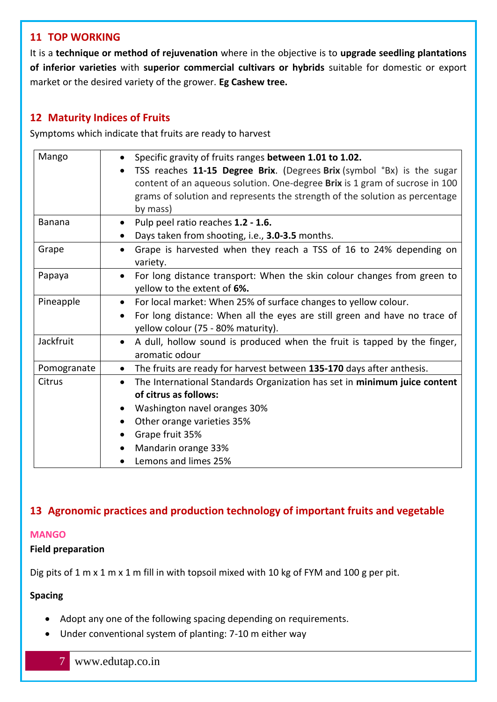### <span id="page-6-0"></span>**11 TOP WORKING**

It is a **technique or method of rejuvenation** where in the objective is to **upgrade seedling plantations of inferior varieties** with **superior commercial cultivars or hybrids** suitable for domestic or export market or the desired variety of the grower. **Eg Cashew tree.**

## <span id="page-6-1"></span>**12 Maturity Indices of Fruits**

Symptoms which indicate that fruits are ready to harvest

| Mango       | Specific gravity of fruits ranges between 1.01 to 1.02.                                                         |  |  |
|-------------|-----------------------------------------------------------------------------------------------------------------|--|--|
|             | TSS reaches 11-15 Degree Brix. (Degrees Brix (symbol °Bx) is the sugar                                          |  |  |
|             | content of an aqueous solution. One-degree Brix is 1 gram of sucrose in 100                                     |  |  |
|             | grams of solution and represents the strength of the solution as percentage<br>by mass)                         |  |  |
| Banana      | Pulp peel ratio reaches 1.2 - 1.6.<br>$\bullet$                                                                 |  |  |
|             | Days taken from shooting, i.e., 3.0-3.5 months.                                                                 |  |  |
| Grape       | Grape is harvested when they reach a TSS of 16 to 24% depending on<br>$\bullet$<br>variety.                     |  |  |
| Papaya      | For long distance transport: When the skin colour changes from green to<br>yellow to the extent of 6%.          |  |  |
| Pineapple   | • For local market: When 25% of surface changes to yellow colour.                                               |  |  |
|             | For long distance: When all the eyes are still green and have no trace of<br>yellow colour (75 - 80% maturity). |  |  |
| Jackfruit   | A dull, hollow sound is produced when the fruit is tapped by the finger,<br>aromatic odour                      |  |  |
| Pomogranate | The fruits are ready for harvest between 135-170 days after anthesis.<br>$\bullet$                              |  |  |
| Citrus      | The International Standards Organization has set in minimum juice content<br>$\bullet$<br>of citrus as follows: |  |  |
|             | Washington navel oranges 30%<br>$\bullet$                                                                       |  |  |
|             | Other orange varieties 35%                                                                                      |  |  |
|             | Grape fruit 35%                                                                                                 |  |  |
|             | Mandarin orange 33%                                                                                             |  |  |
|             | Lemons and limes 25%                                                                                            |  |  |

## <span id="page-6-2"></span>**13 Agronomic practices and production technology of important fruits and vegetable**

### <span id="page-6-3"></span>**MANGO**

### **Field preparation**

Dig pits of 1 m x 1 m x 1 m fill in with topsoil mixed with 10 kg of FYM and 100 g per pit.

### **Spacing**

- Adopt any one of the following spacing depending on requirements.
- Under conventional system of planting: 7-10 m either way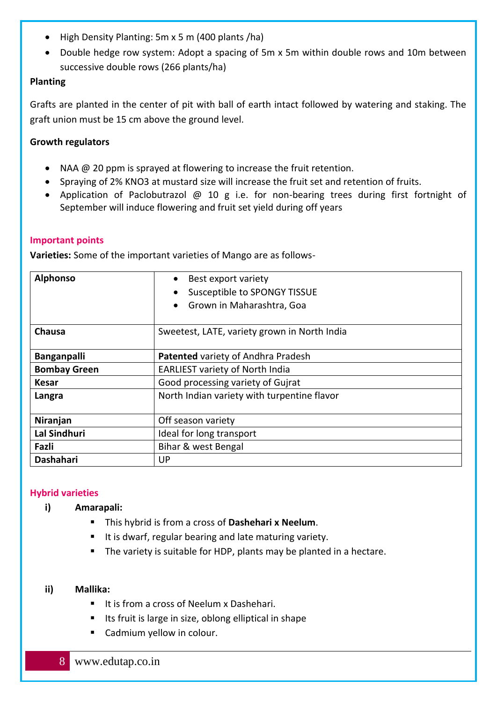- High Density Planting: 5m x 5 m (400 plants /ha)
- Double hedge row system: Adopt a spacing of 5m x 5m within double rows and 10m between successive double rows (266 plants/ha)

### **Planting**

Grafts are planted in the center of pit with ball of earth intact followed by watering and staking. The graft union must be 15 cm above the ground level.

### **Growth regulators**

- NAA @ 20 ppm is sprayed at flowering to increase the fruit retention.
- Spraying of 2% KNO3 at mustard size will increase the fruit set and retention of fruits.
- Application of Paclobutrazol @ 10 g i.e. for non-bearing trees during first fortnight of September will induce flowering and fruit set yield during off years

### <span id="page-7-0"></span>**Important points**

**Varieties:** Some of the important varieties of Mango are as follows-

| <b>Alphonso</b>                                       | Best export variety<br>$\bullet$<br><b>Susceptible to SPONGY TISSUE</b><br>Grown in Maharashtra, Goa |  |
|-------------------------------------------------------|------------------------------------------------------------------------------------------------------|--|
| Chausa                                                | Sweetest, LATE, variety grown in North India                                                         |  |
| <b>Banganpalli</b>                                    | <b>Patented variety of Andhra Pradesh</b>                                                            |  |
| <b>Bombay Green</b>                                   | <b>EARLIEST variety of North India</b>                                                               |  |
| <b>Kesar</b>                                          | Good processing variety of Gujrat                                                                    |  |
| North Indian variety with turpentine flavor<br>Langra |                                                                                                      |  |
| Niranjan<br>Off season variety                        |                                                                                                      |  |
| Lal Sindhuri<br>Ideal for long transport              |                                                                                                      |  |
| Fazli<br>Bihar & west Bengal                          |                                                                                                      |  |
| <b>Dashahari</b>                                      | UP                                                                                                   |  |

### <span id="page-7-1"></span>**Hybrid varieties**

### **i) Amarapali:**

- This hybrid is from a cross of **Dashehari x Neelum**.
- It is dwarf, regular bearing and late maturing variety.
- The variety is suitable for HDP, plants may be planted in a hectare.

#### **ii) Mallika:**

- It is from a cross of Neelum x Dashehari.
- Its fruit is large in size, oblong elliptical in shape
- Cadmium yellow in colour.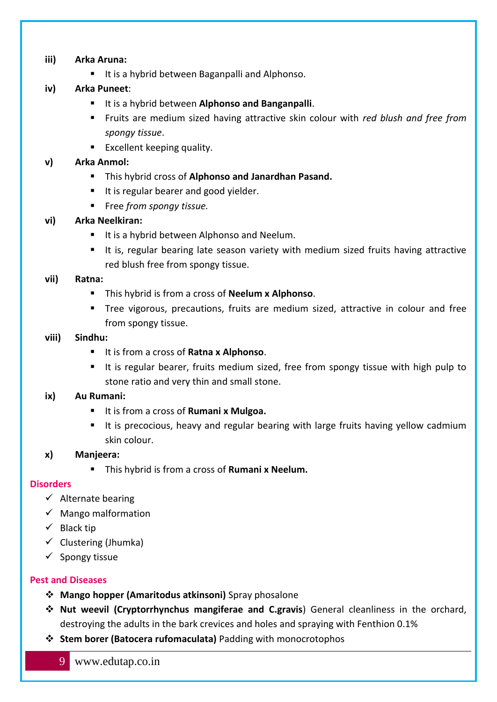### **iii) Arka Aruna:**

■ It is a hybrid between Baganpalli and Alphonso.

### **iv) Arka Puneet**:

- It is a hybrid between **Alphonso and Banganpalli**.
- Fruits are medium sized having attractive skin colour with *red blush and free from spongy tissue*.
- Excellent keeping quality.

### **v) Arka Anmol:**

- This hybrid cross of **Alphonso and Janardhan Pasand.**
- It is regular bearer and good yielder.
- Free *from spongy tissue.*

### **vi) Arka Neelkiran:**

- It is a hybrid between Alphonso and Neelum.
- It is, regular bearing late season variety with medium sized fruits having attractive red blush free from spongy tissue.

### **vii) Ratna:**

- This hybrid is from a cross of **Neelum x Alphonso**.
- Tree vigorous, precautions, fruits are medium sized, attractive in colour and free from spongy tissue.

### **viii) Sindhu:**

- It is from a cross of **Ratna x Alphonso**.
- It is regular bearer, fruits medium sized, free from spongy tissue with high pulp to stone ratio and very thin and small stone.

### **ix) Au Rumani:**

- It is from a cross of **Rumani x Mulgoa.**
- It is precocious, heavy and regular bearing with large fruits having yellow cadmium skin colour.

### **x) Manjeera:**

▪ This hybrid is from a cross of **Rumani x Neelum.**

### <span id="page-8-0"></span>**Disorders**

- $\checkmark$  Alternate bearing
- $\checkmark$  Mango malformation
- $\checkmark$  Black tip
- $\checkmark$  Clustering (Jhumka)
- $\checkmark$  Spongy tissue

### <span id="page-8-1"></span>**Pest and Diseases**

- ❖ **Mango hopper (Amaritodus atkinsoni)** Spray phosalone
- ❖ **Nut weevil (Cryptorrhynchus mangiferae and C.gravis**) General cleanliness in the orchard, destroying the adults in the bark crevices and holes and spraying with Fenthion 0.1%
- ❖ **Stem borer (Batocera rufomaculata)** Padding with monocrotophos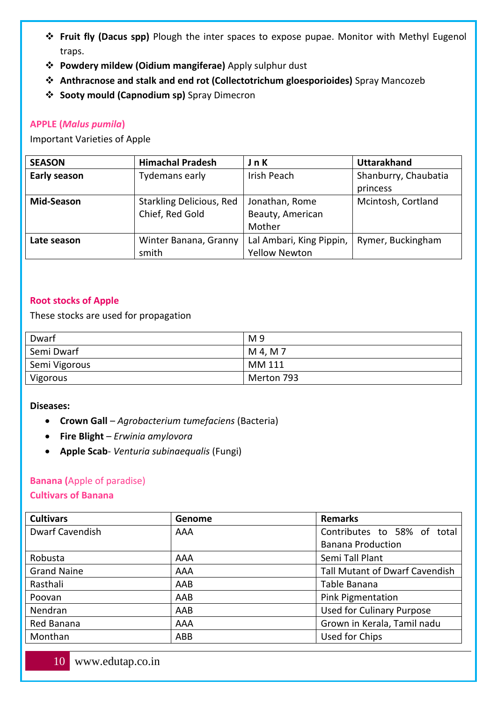- ❖ **Fruit fly (Dacus spp)** Plough the inter spaces to expose pupae. Monitor with Methyl Eugenol traps.
- ❖ **Powdery mildew (Oidium mangiferae)** Apply sulphur dust
- ❖ **Anthracnose and stalk and end rot (Collectotrichum gloesporioides)** Spray Mancozeb
- ❖ **Sooty mould (Capnodium sp)** Spray Dimecron

### <span id="page-9-0"></span>**APPLE (***Malus pumila***)**

#### Important Varieties of Apple

| <b>SEASON</b>       | <b>Himachal Pradesh</b>         | J n K                    | <b>Uttarakhand</b>   |
|---------------------|---------------------------------|--------------------------|----------------------|
| <b>Early season</b> | Tydemans early                  | Irish Peach              | Shanburry, Chaubatia |
|                     |                                 |                          | princess             |
| <b>Mid-Season</b>   | <b>Starkling Delicious, Red</b> | Jonathan, Rome           | Mcintosh, Cortland   |
|                     | Chief, Red Gold                 | Beauty, American         |                      |
|                     |                                 | Mother                   |                      |
| Late season         | Winter Banana, Granny           | Lal Ambari, King Pippin, | Rymer, Buckingham    |
|                     | smith                           | <b>Yellow Newton</b>     |                      |

### <span id="page-9-1"></span>**Root stocks of Apple**

These stocks are used for propagation

| Dwarf         | M <sub>9</sub> |
|---------------|----------------|
| Semi Dwarf    | M 4, M 7       |
| Semi Vigorous | MM 111         |
| Vigorous      | Merton 793     |

#### **Diseases:**

- **Crown Gall** *Agrobacterium tumefaciens* (Bacteria)
- **Fire Blight** *Erwinia amylovora*
- **Apple Scab** *Venturia subinaequalis* (Fungi)

### <span id="page-9-2"></span>**Banana (**Apple of paradise)

### **Cultivars of Banana**

| <b>Cultivars</b>                          | Genome | <b>Remarks</b>                        |  |
|-------------------------------------------|--------|---------------------------------------|--|
| <b>Dwarf Cavendish</b>                    | AAA    | Contributes to 58% of total           |  |
|                                           |        | <b>Banana Production</b>              |  |
| Robusta                                   | AAA    | Semi Tall Plant                       |  |
| <b>Grand Naine</b>                        | AAA    | <b>Tall Mutant of Dwarf Cavendish</b> |  |
| Rasthali                                  | AAB    | Table Banana                          |  |
| <b>Pink Pigmentation</b><br>AAB<br>Poovan |        |                                       |  |
| Nendran                                   | AAB    | <b>Used for Culinary Purpose</b>      |  |
| Red Banana                                | AAA    | Grown in Kerala, Tamil nadu           |  |
| Monthan                                   | ABB    | Used for Chips                        |  |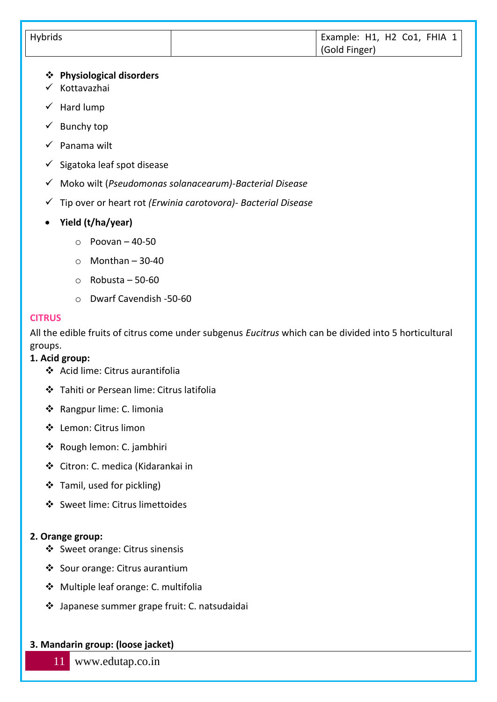| Hybrids | Example: H1, H2 Co1, FHIA 1 |
|---------|-----------------------------|
|         | Gold Finger)                |

### ❖ **Physiological disorders**

- ✓ Kottavazhai
- ✓ Hard lump
- $\checkmark$  Bunchy top
- $\checkmark$  Panama wilt
- $\checkmark$  Sigatoka leaf spot disease
- ✓ Moko wilt (*Pseudomonas solanacearum)-Bacterial Disease*
- ✓ Tip over or heart rot *(Erwinia carotovora)- Bacterial Disease*
- **Yield (t/ha/year)**
	- $\circ$  Poovan 40-50
	- $\circ$  Monthan 30-40
	- $\circ$  Robusta 50-60
	- o Dwarf Cavendish -50-60

#### <span id="page-10-0"></span>**CITRUS**

All the edible fruits of citrus come under subgenus *Eucitrus* which can be divided into 5 horticultural groups.

### **1. Acid group:**

- ❖ Acid lime: Citrus aurantifolia
- ❖ Tahiti or Persean lime: Citrus latifolia
- ❖ Rangpur lime: C. limonia
- ❖ Lemon: Citrus limon
- ❖ Rough lemon: C. jambhiri
- ❖ Citron: C. medica (Kidarankai in
- ❖ Tamil, used for pickling)
- ❖ Sweet lime: Citrus limettoides

### **2. Orange group:**

- ❖ Sweet orange: Citrus sinensis
- ❖ Sour orange: Citrus aurantium
- ❖ Multiple leaf orange: C. multifolia
- ❖ Japanese summer grape fruit: C. natsudaidai

### **3. Mandarin group: (loose jacket)**

## 11 www.edutap.co.in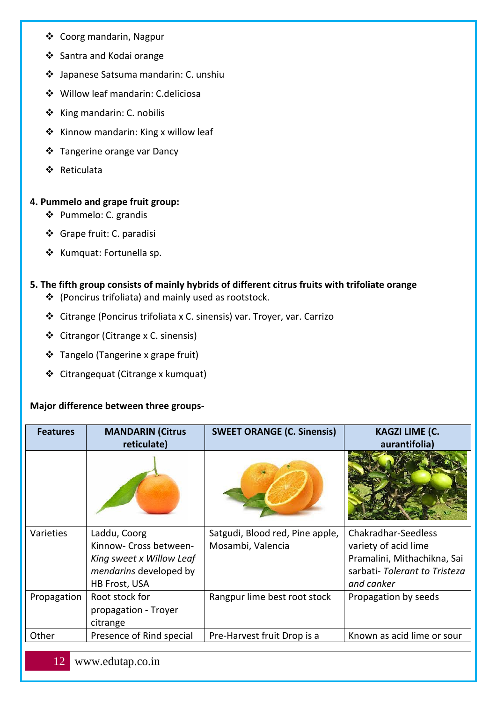- ❖ Coorg mandarin, Nagpur
- ❖ Santra and Kodai orange
- ❖ Japanese Satsuma mandarin: C. unshiu
- ❖ Willow leaf mandarin: C.deliciosa
- ❖ King mandarin: C. nobilis
- ❖ Kinnow mandarin: King x willow leaf
- ❖ Tangerine orange var Dancy
- ❖ Reticulata

### **4. Pummelo and grape fruit group:**

- ❖ Pummelo: C. grandis
- ❖ Grape fruit: C. paradisi
- ❖ Kumquat: Fortunella sp.

### **5. The fifth group consists of mainly hybrids of different citrus fruits with trifoliate orange**

- ❖ (Poncirus trifoliata) and mainly used as rootstock.
- ❖ Citrange (Poncirus trifoliata x C. sinensis) var. Troyer, var. Carrizo
- ❖ Citrangor (Citrange x C. sinensis)
- ❖ Tangelo (Tangerine x grape fruit)
- ❖ Citrangequat (Citrange x kumquat)

### **Major difference between three groups-**

| <b>Features</b>  | <b>MANDARIN (Citrus</b><br>reticulate)                                                                               | <b>SWEET ORANGE (C. Sinensis)</b>                    | <b>KAGZI LIME (C.</b><br>aurantifolia)                                                                                   |
|------------------|----------------------------------------------------------------------------------------------------------------------|------------------------------------------------------|--------------------------------------------------------------------------------------------------------------------------|
|                  |                                                                                                                      |                                                      |                                                                                                                          |
| <b>Varieties</b> | Laddu, Coorg<br>Kinnow- Cross between-<br>King sweet x Willow Leaf<br>mendarins developed by<br><b>HB Frost, USA</b> | Satgudi, Blood red, Pine apple,<br>Mosambi, Valencia | Chakradhar-Seedless<br>variety of acid lime<br>Pramalini, Mithachikna, Sai<br>sarbati-Tolerant to Tristeza<br>and canker |
| Propagation      | Root stock for<br>propagation - Troyer<br>citrange                                                                   | Rangpur lime best root stock                         | Propagation by seeds                                                                                                     |
| Other            | Presence of Rind special                                                                                             | Pre-Harvest fruit Drop is a                          | Known as acid lime or sour                                                                                               |
|                  |                                                                                                                      |                                                      |                                                                                                                          |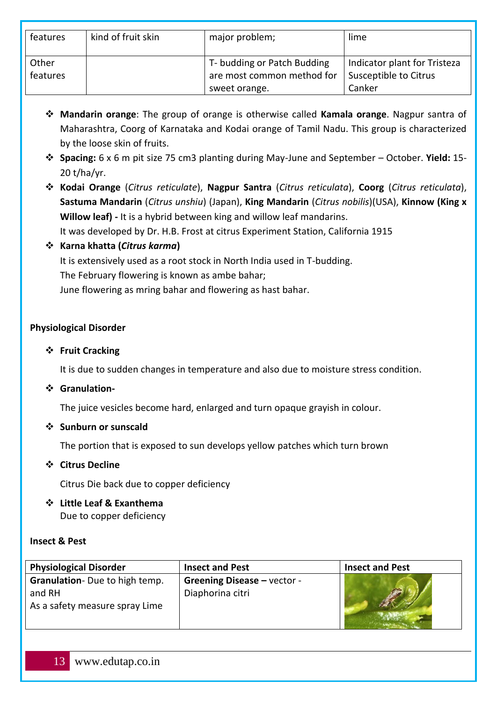| features | kind of fruit skin | major problem;              | lime                         |
|----------|--------------------|-----------------------------|------------------------------|
| Other    |                    | T- budding or Patch Budding | Indicator plant for Tristeza |
| features |                    | are most common method for  | Susceptible to Citrus        |
|          |                    | sweet orange.               | Canker                       |

- ❖ **Mandarin orange**: The group of orange is otherwise called **Kamala orange**. Nagpur santra of Maharashtra, Coorg of Karnataka and Kodai orange of Tamil Nadu. This group is characterized by the loose skin of fruits.
- ❖ **Spacing:** 6 x 6 m pit size 75 cm3 planting during May-June and September October. **Yield:** 15- 20 t/ha/yr.
- ❖ **Kodai Orange** (*Citrus reticulate*), **Nagpur Santra** (*Citrus reticulata*), **Coorg** (*Citrus reticulata*), **Sastuma Mandarin** (*Citrus unshiu*) (Japan), **King Mandarin** (*Citrus nobilis*)(USA), **Kinnow (King x Willow leaf) -** It is a hybrid between king and willow leaf mandarins. It was developed by Dr. H.B. Frost at citrus Experiment Station, California 1915

### ❖ **Karna khatta (***Citrus karma***)**

It is extensively used as a root stock in North India used in T-budding. The February flowering is known as ambe bahar; June flowering as mring bahar and flowering as hast bahar.

### **Physiological Disorder**

### ❖ **Fruit Cracking**

It is due to sudden changes in temperature and also due to moisture stress condition.

### ❖ **Granulation-**

The juice vesicles become hard, enlarged and turn opaque grayish in colour.

### ❖ **Sunburn or sunscald**

The portion that is exposed to sun develops yellow patches which turn brown

### ❖ **Citrus Decline**

Citrus Die back due to copper deficiency

### ❖ **Little Leaf & Exanthema** Due to copper deficiency

### **Insect & Pest**

| <b>Physiological Disorder</b>         | <b>Insect and Pest</b>             | <b>Insect and Pest</b> |
|---------------------------------------|------------------------------------|------------------------|
| <b>Granulation-</b> Due to high temp. | <b>Greening Disease - vector -</b> |                        |
| and RH                                | Diaphorina citri                   |                        |
| As a safety measure spray Lime        |                                    |                        |
|                                       |                                    |                        |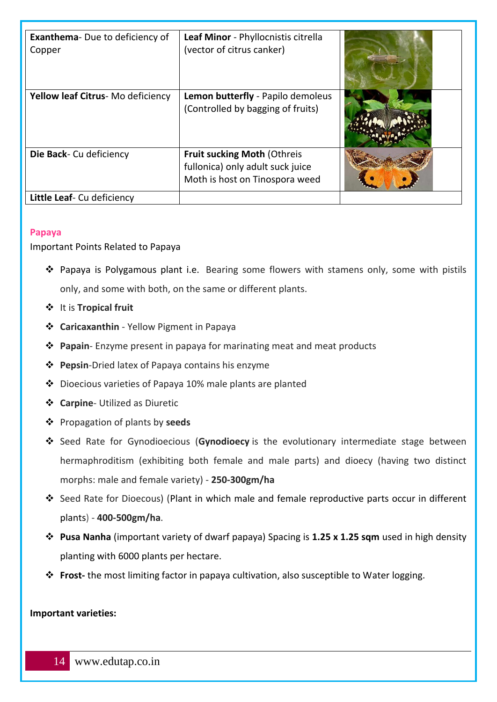| <b>Exanthema-</b> Due to deficiency of<br>Copper | Leaf Minor - Phyllocnistis citrella<br>(vector of citrus canker)                                         |  |
|--------------------------------------------------|----------------------------------------------------------------------------------------------------------|--|
| Yellow leaf Citrus-Mo deficiency                 | Lemon butterfly - Papilo demoleus<br>(Controlled by bagging of fruits)                                   |  |
| Die Back- Cu deficiency                          | <b>Fruit sucking Moth (Othreis</b><br>fullonica) only adult suck juice<br>Moth is host on Tinospora weed |  |
| Little Leaf- Cu deficiency                       |                                                                                                          |  |

### <span id="page-13-0"></span>**Papaya**

#### Important Points Related to Papaya

- ❖ Papaya is Polygamous plant i.e. Bearing some flowers with stamens only, some with pistils only, and some with both, on the same or different plants.
- ❖ It is **Tropical fruit**
- ❖ **Caricaxanthin**  Yellow Pigment in Papaya
- ❖ **Papain** Enzyme present in papaya for marinating meat and meat products
- ❖ **Pepsin**-Dried latex of Papaya contains his enzyme
- ❖ Dioecious varieties of Papaya 10% male plants are planted
- ❖ **Carpine** Utilized as Diuretic
- ❖ Propagation of plants by **seeds**
- ❖ Seed Rate for Gynodioecious (**Gynodioecy** is the evolutionary intermediate stage between hermaphroditism (exhibiting both female and male parts) and dioecy (having two distinct morphs: male and female variety) - **250-300gm/ha**
- ❖ Seed Rate for Dioecous) (Plant in which male and female reproductive parts occur in different plants) - **400-500gm/ha**.
- ❖ **Pusa Nanha** (important variety of dwarf papaya) Spacing is **1.25 x 1.25 sqm** used in high density planting with 6000 plants per hectare.
- ❖ **Frost-** the most limiting factor in papaya cultivation, also susceptible to Water logging.

#### **Important varieties:**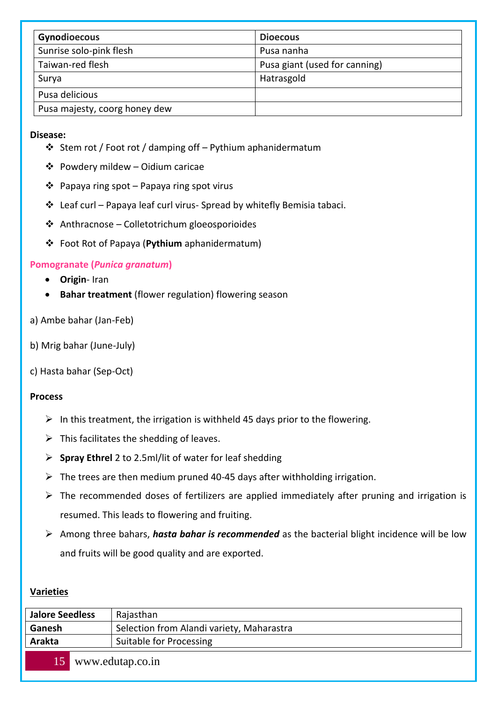| Gynodioecous                  | <b>Dioecous</b>               |
|-------------------------------|-------------------------------|
| Sunrise solo-pink flesh       | Pusa nanha                    |
| Taiwan-red flesh              | Pusa giant (used for canning) |
| Surya                         | Hatrasgold                    |
| Pusa delicious                |                               |
| Pusa majesty, coorg honey dew |                               |

#### **Disease:**

- ❖ Stem rot / Foot rot / damping off Pythium aphanidermatum
- ❖ Powdery mildew Oidium caricae
- ❖ Papaya ring spot Papaya ring spot virus
- ❖ Leaf curl Papaya leaf curl virus- Spread by whitefly Bemisia tabaci.
- ❖ Anthracnose Colletotrichum gloeosporioides
- ❖ Foot Rot of Papaya (**Pythium** aphanidermatum)

### <span id="page-14-0"></span>**Pomogranate (***Punica granatum***)**

- **Origin** Iran
- **Bahar treatment** (flower regulation) flowering season

### a) Ambe bahar (Jan-Feb)

- b) Mrig bahar (June-July)
- c) Hasta bahar (Sep-Oct)

### **Process**

- $\triangleright$  In this treatment, the irrigation is withheld 45 days prior to the flowering.
- $\triangleright$  This facilitates the shedding of leaves.
- ➢ **Spray Ethrel** 2 to 2.5ml/lit of water for leaf shedding
- $\triangleright$  The trees are then medium pruned 40-45 days after withholding irrigation.
- $\triangleright$  The recommended doses of fertilizers are applied immediately after pruning and irrigation is resumed. This leads to flowering and fruiting.
- ➢ Among three bahars, *hasta bahar is recommended* as the bacterial blight incidence will be low and fruits will be good quality and are exported.

### **Varieties**

| <b>Jalore Seedless</b> | Rajasthan                                 |
|------------------------|-------------------------------------------|
| Ganesh                 | Selection from Alandi variety, Maharastra |
| <b>Arakta</b>          | Suitable for Processing                   |
| 15.                    | www.edutap.co.in                          |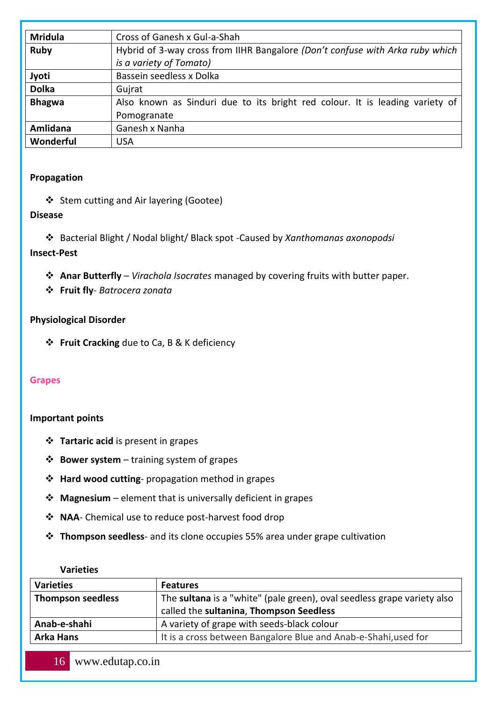| <b>Mridula</b> | Cross of Ganesh x Gul-a-Shah                                                  |
|----------------|-------------------------------------------------------------------------------|
| <b>Ruby</b>    | Hybrid of 3-way cross from IIHR Bangalore (Don't confuse with Arka ruby which |
|                | is a variety of Tomato)                                                       |
| Jyoti          | Bassein seedless x Dolka                                                      |
| <b>Dolka</b>   | Gujrat                                                                        |
| <b>Bhagwa</b>  | Also known as Sinduri due to its bright red colour. It is leading variety of  |
|                | Pomogranate                                                                   |
| Amlidana       | Ganesh x Nanha                                                                |
| Wonderful      | <b>USA</b>                                                                    |

### **Propagation**

❖ Stem cutting and Air layering (Gootee)

### **Disease**

❖ Bacterial Blight / Nodal blight/ Black spot -Caused by *Xanthomanas axonopodsi*

### **Insect-Pest**

❖ **Anar Butterfly** – *Virachola Isocrates* managed by covering fruits with butter paper.

❖ **Fruit fly**- *Batrocera zonata*

### **Physiological Disorder**

❖ **Fruit Cracking** due to Ca, B & K deficiency

### <span id="page-15-0"></span>**Grapes**

### **Important points**

- ❖ **Tartaric acid** is present in grapes
- ❖ **Bower system** training system of grapes
- ❖ **Hard wood cutting** propagation method in grapes
- ❖ **Magnesium** element that is universally deficient in grapes
- ❖ **NAA** Chemical use to reduce post-harvest food drop
- ❖ **Thompson seedless** and its clone occupies 55% area under grape cultivation

#### **Varieties**

| <b>Varieties</b>         | <b>Features</b>                                                         |
|--------------------------|-------------------------------------------------------------------------|
| <b>Thompson seedless</b> | The sultana is a "white" (pale green), oval seedless grape variety also |
|                          | called the sultanina, Thompson Seedless                                 |
| Anab-e-shahi             | A variety of grape with seeds-black colour                              |
| <b>Arka Hans</b>         | It is a cross between Bangalore Blue and Anab-e-Shahi, used for         |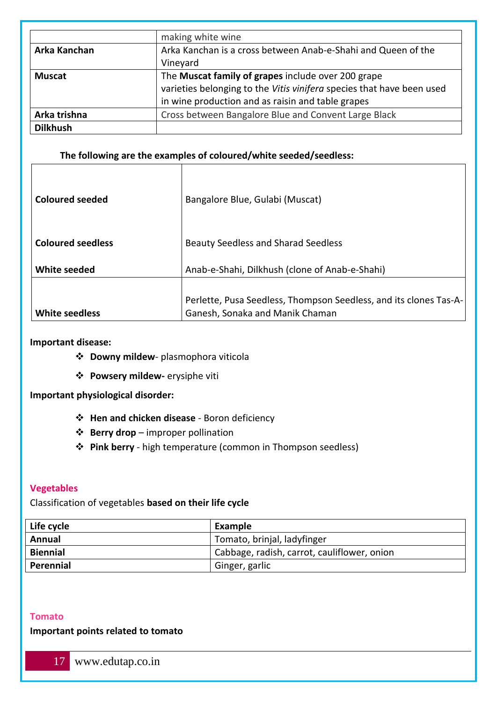|                 | making white wine                                                         |
|-----------------|---------------------------------------------------------------------------|
| Arka Kanchan    | Arka Kanchan is a cross between Anab-e-Shahi and Queen of the<br>Vineyard |
|                 |                                                                           |
| <b>Muscat</b>   | The Muscat family of grapes include over 200 grape                        |
|                 | varieties belonging to the Vitis vinifera species that have been used     |
|                 | in wine production and as raisin and table grapes                         |
| Arka trishna    | Cross between Bangalore Blue and Convent Large Black                      |
| <b>Dilkhush</b> |                                                                           |

### **The following are the examples of coloured/white seeded/seedless:**

| <b>Coloured seeded</b>   | Bangalore Blue, Gulabi (Muscat)                                   |
|--------------------------|-------------------------------------------------------------------|
|                          |                                                                   |
| <b>Coloured seedless</b> | <b>Beauty Seedless and Sharad Seedless</b>                        |
|                          |                                                                   |
| White seeded             | Anab-e-Shahi, Dilkhush (clone of Anab-e-Shahi)                    |
|                          |                                                                   |
|                          | Perlette, Pusa Seedless, Thompson Seedless, and its clones Tas-A- |
| <b>White seedless</b>    | Ganesh, Sonaka and Manik Chaman                                   |

#### **Important disease:**

- ❖ **Downy mildew** plasmophora viticola
- ❖ **Powsery mildew-** erysiphe viti

#### **Important physiological disorder:**

- ❖ **Hen and chicken disease** Boron deficiency
- ❖ **Berry drop** improper pollination
- ❖ **Pink berry**  high temperature (common in Thompson seedless)

### <span id="page-16-0"></span>**Vegetables**

### Classification of vegetables **based on their life cycle**

| Life cycle      | Example                                     |
|-----------------|---------------------------------------------|
| Annual          | Tomato, brinjal, ladyfinger                 |
| <b>Biennial</b> | Cabbage, radish, carrot, cauliflower, onion |
| Perennial       | Ginger, garlic                              |

#### <span id="page-16-1"></span>**Tomato**

#### **Important points related to tomato**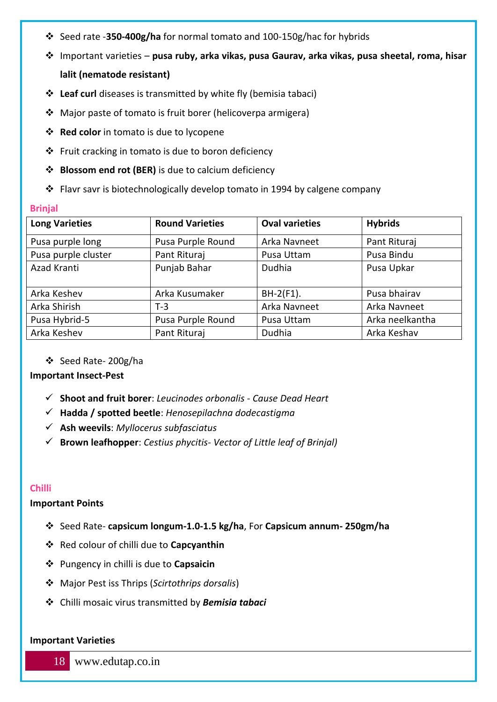- ❖ Seed rate -**350-400g/ha** for normal tomato and 100-150g/hac for hybrids
- ❖ Important varieties **pusa ruby, arka vikas, pusa Gaurav, arka vikas, pusa sheetal, roma, hisar**

### **lalit (nematode resistant)**

- ❖ **Leaf curl** diseases is transmitted by white fly (bemisia tabaci)
- ❖ Major paste of tomato is fruit borer (helicoverpa armigera)
- ❖ **Red color** in tomato is due to lycopene
- ❖ Fruit cracking in tomato is due to boron deficiency
- ❖ **Blossom end rot (BER)** is due to calcium deficiency
- ❖ Flavr savr is biotechnologically develop tomato in 1994 by calgene company

#### <span id="page-17-0"></span>**Brinjal**

| <b>Long Varieties</b> | <b>Round Varieties</b> | <b>Oval varieties</b> | <b>Hybrids</b>  |
|-----------------------|------------------------|-----------------------|-----------------|
| Pusa purple long      | Pusa Purple Round      | Arka Navneet          | Pant Rituraj    |
| Pusa purple cluster   | Pant Rituraj           | Pusa Uttam            | Pusa Bindu      |
| Azad Kranti           | Punjab Bahar           | <b>Dudhia</b>         | Pusa Upkar      |
| Arka Keshev           | Arka Kusumaker         | $BH-2(F1)$ .          | Pusa bhairav    |
| Arka Shirish          | $T-3$                  | Arka Navneet          | Arka Navneet    |
| Pusa Hybrid-5         | Pusa Purple Round      | Pusa Uttam            | Arka neelkantha |
| Arka Keshev           | Pant Rituraj           | Dudhia                | Arka Keshav     |

### ❖ Seed Rate- 200g/ha

### **Important Insect-Pest**

- ✓ **Shoot and fruit borer**: *Leucinodes orbonalis - Cause Dead Heart*
- ✓ **Hadda / spotted beetle**: *Henosepilachna dodecastigma*
- ✓ **Ash weevils**: *Myllocerus subfasciatus*
- ✓ **Brown leafhopper**: *Cestius phycitis- Vector of Little leaf of Brinjal)*

### <span id="page-17-1"></span>**Chilli**

### **Important Points**

- ❖ Seed Rate- **capsicum longum-1.0-1.5 kg/ha**, For **Capsicum annum- 250gm/ha**
- ❖ Red colour of chilli due to **Capcyanthin**
- ❖ Pungency in chilli is due to **Capsaicin**
- ❖ Major Pest iss Thrips (*Scirtothrips dorsalis*)
- ❖ Chilli mosaic virus transmitted by *Bemisia tabaci*

#### **Important Varieties**

18 www.edutap.co.in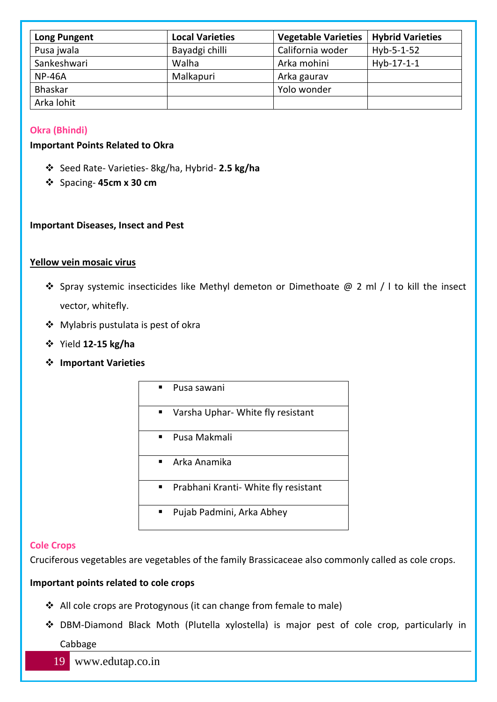| <b>Long Pungent</b> | <b>Local Varieties</b> | <b>Vegetable Varieties</b> | <b>Hybrid Varieties</b> |
|---------------------|------------------------|----------------------------|-------------------------|
| Pusa jwala          | Bayadgi chilli         | California woder           | $Hvb-5-1-52$            |
| Sankeshwari         | Walha                  | Arka mohini                | Hyb-17-1-1              |
| <b>NP-46A</b>       | Malkapuri              | Arka gaurav                |                         |
| Bhaskar             |                        | Yolo wonder                |                         |
| Arka lohit          |                        |                            |                         |

### <span id="page-18-0"></span>**Okra (Bhindi)**

#### **Important Points Related to Okra**

- ❖ Seed Rate- Varieties- 8kg/ha, Hybrid- **2.5 kg/ha**
- ❖ Spacing- **45cm x 30 cm**

#### **Important Diseases, Insect and Pest**

#### **Yellow vein mosaic virus**

- ❖ Spray systemic insecticides like Methyl demeton or Dimethoate @ 2 ml / l to kill the insect vector, whitefly.
- ❖ Mylabris pustulata is pest of okra
- ❖ Yield **12-15 kg/ha**
- ❖ **Important Varieties**

| Pusa sawani                          |
|--------------------------------------|
| Varsha Uphar- White fly resistant    |
| Pusa Makmali                         |
| Arka Anamika                         |
| Prabhani Kranti- White fly resistant |
| Pujab Padmini, Arka Abhey            |

#### <span id="page-18-1"></span>**Cole Crops**

Cruciferous vegetables are vegetables of the family Brassicaceae also commonly called as cole crops.

#### **Important points related to cole crops**

- ❖ All cole crops are Protogynous (it can change from female to male)
- ❖ DBM-Diamond Black Moth (Plutella xylostella) is major pest of cole crop, particularly in Cabbage
	- 19 www.edutap.co.in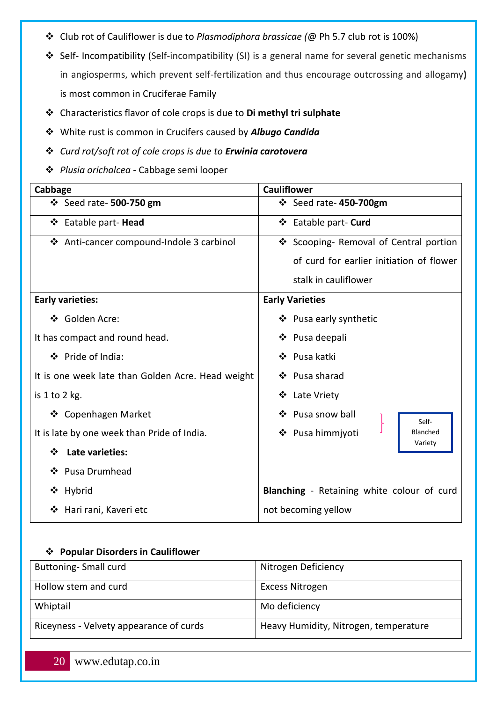- ❖ Club rot of Cauliflower is due to *Plasmodiphora brassicae (*@ Ph 5.7 club rot is 100%)
- ❖ Self- Incompatibility (Self-incompatibility (SI) is a general name for several genetic mechanisms in angiosperms, which prevent self-fertilization and thus encourage outcrossing and allogamy**)** is most common in Cruciferae Family
- ❖ Characteristics flavor of cole crops is due to **Di methyl tri sulphate**
- ❖ White rust is common in Crucifers caused by *Albugo Candida*
- ❖ *Curd rot/soft rot of cole crops is due to Erwinia carotovera*
- ❖ *Plusia orichalcea -* Cabbage semi looper

| Cabbage                                           | <b>Cauliflower</b>                                |  |  |
|---------------------------------------------------|---------------------------------------------------|--|--|
| ❖ Seed rate- 500-750 gm                           | ❖ Seed rate-450-700gm                             |  |  |
| ❖ Eatable part-Head                               | ❖ Eatable part- Curd                              |  |  |
| ❖ Anti-cancer compound-Indole 3 carbinol          | ❖ Scooping- Removal of Central portion            |  |  |
|                                                   | of curd for earlier initiation of flower          |  |  |
|                                                   | stalk in cauliflower                              |  |  |
| <b>Early varieties:</b>                           | <b>Early Varieties</b>                            |  |  |
| ❖ Golden Acre:                                    | ❖ Pusa early synthetic                            |  |  |
| It has compact and round head.                    | ❖ Pusa deepali                                    |  |  |
| ❖ Pride of India:                                 | ❖ Pusa katki                                      |  |  |
| It is one week late than Golden Acre. Head weight | ❖ Pusa sharad                                     |  |  |
| is $1$ to $2$ kg.                                 | ❖ Late Vriety                                     |  |  |
| ❖ Copenhagen Market                               | ❖ Pusa snow ball<br>Self-                         |  |  |
| It is late by one week than Pride of India.       | ❖ Pusa himmjyoti<br>Blanched                      |  |  |
| <b>Late varieties:</b><br>❖                       | Variety                                           |  |  |
| ❖ Pusa Drumhead                                   |                                                   |  |  |
| ❖ Hybrid                                          | <b>Blanching</b> - Retaining white colour of curd |  |  |
| Hari rani, Kaveri etc<br>❖                        | not becoming yellow                               |  |  |

### ❖ **Popular Disorders in Cauliflower**

| <b>Buttoning-Small curd</b>             | Nitrogen Deficiency                   |
|-----------------------------------------|---------------------------------------|
| Hollow stem and curd                    | Excess Nitrogen                       |
| Whiptail                                | Mo deficiency                         |
| Riceyness - Velvety appearance of curds | Heavy Humidity, Nitrogen, temperature |